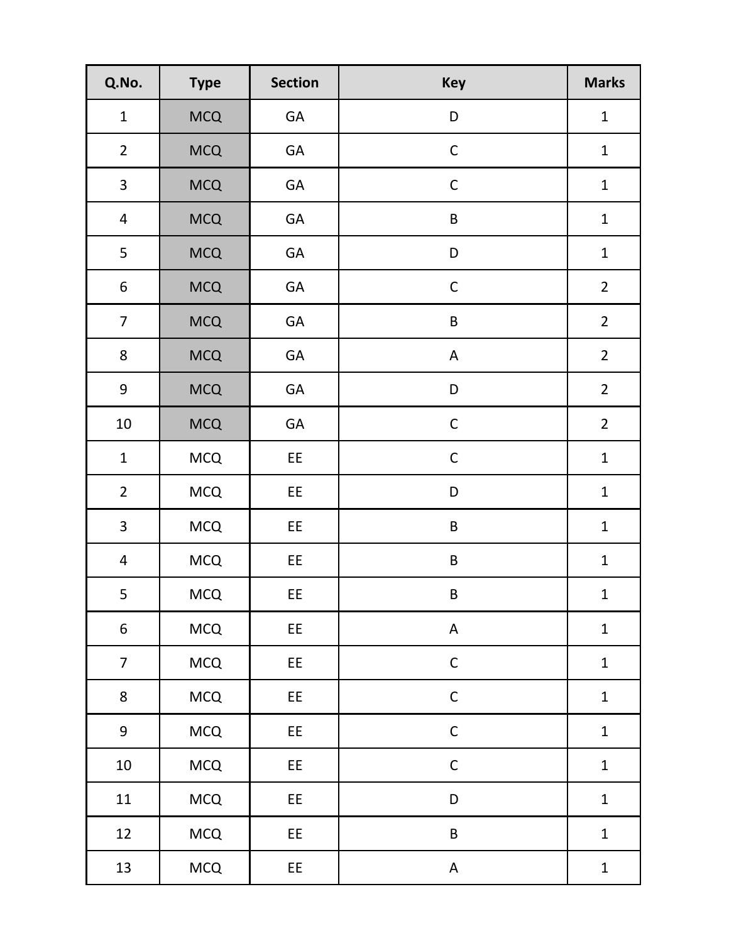| Q.No.                   | <b>Type</b> | <b>Section</b> | <b>Key</b>  | <b>Marks</b>   |
|-------------------------|-------------|----------------|-------------|----------------|
| $\mathbf 1$             | <b>MCQ</b>  | GA             | D           | $\mathbf{1}$   |
| $\overline{2}$          | <b>MCQ</b>  | GA             | $\mathsf C$ | $\mathbf{1}$   |
| 3                       | <b>MCQ</b>  | GA             | $\mathsf C$ | $\mathbf 1$    |
| $\overline{4}$          | <b>MCQ</b>  | GA             | $\sf B$     | $\mathbf 1$    |
| 5                       | <b>MCQ</b>  | GA             | D           | $\mathbf 1$    |
| $\boldsymbol{6}$        | <b>MCQ</b>  | GA             | $\mathsf C$ | $\overline{2}$ |
| $\overline{7}$          | <b>MCQ</b>  | GA             | $\sf B$     | $\overline{2}$ |
| 8                       | <b>MCQ</b>  | GA             | $\mathsf A$ | $\overline{2}$ |
| 9                       | <b>MCQ</b>  | GA             | D           | $\overline{2}$ |
| $10\,$                  | <b>MCQ</b>  | GA             | $\mathsf C$ | $\overline{2}$ |
| $\mathbf 1$             | <b>MCQ</b>  | EE             | $\mathsf C$ | $\mathbf{1}$   |
| $\overline{2}$          | <b>MCQ</b>  | EE             | D           | $\mathbf 1$    |
| $\overline{\mathbf{3}}$ | MCQ         | EE             | $\sf B$     | $\mathbf 1$    |
| $\overline{4}$          | <b>MCQ</b>  | EE             | B           | $\mathbf{1}$   |
| 5                       | <b>MCQ</b>  | <b>EE</b>      | B           | $\mathbf{1}$   |
| $\boldsymbol{6}$        | <b>MCQ</b>  | EE             | $\sf A$     | $\mathbf 1$    |
| $\overline{7}$          | <b>MCQ</b>  | EE             | $\mathsf C$ | $\mathbf 1$    |
| 8                       | MCQ         | EE             | $\mathsf C$ | $\mathbf 1$    |
| 9                       | MCQ         | EE             | $\mathsf C$ | $\mathbf 1$    |
| $10\,$                  | MCQ         | EE             | $\mathsf C$ | $\mathbf{1}$   |
| 11                      | MCQ         | EE             | D           | $\mathbf 1$    |
| 12                      | MCQ         | EE             | $\sf B$     | $\mathbf 1$    |
| 13                      | MCQ         | EE             | $\mathsf A$ | $\mathbf{1}$   |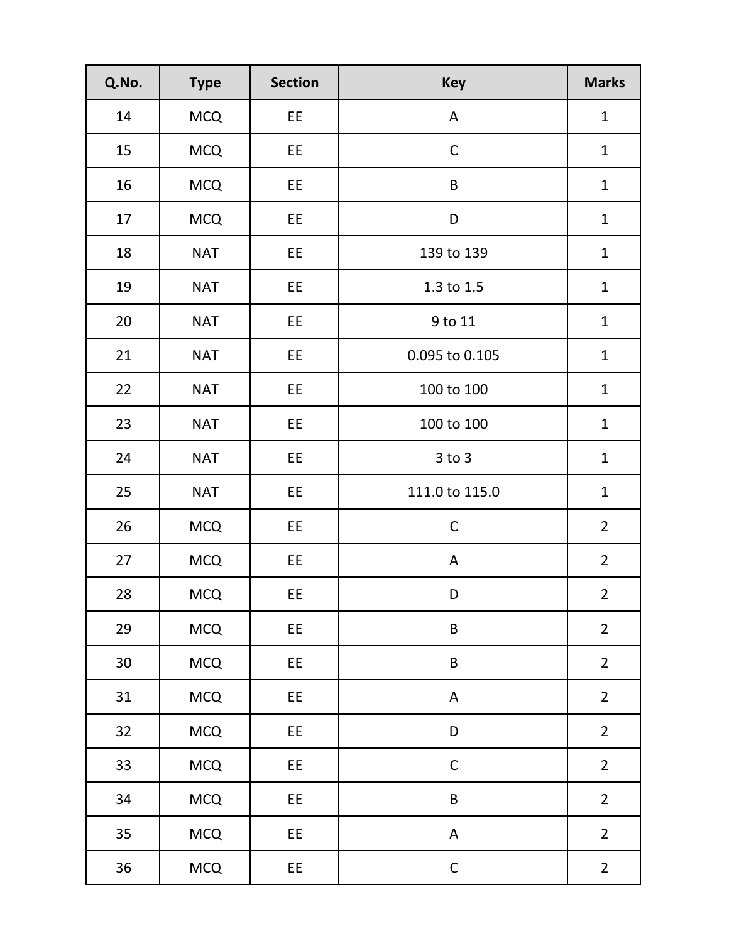| Q.No.  | <b>Type</b> | <b>Section</b> | <b>Key</b>       | <b>Marks</b>   |
|--------|-------------|----------------|------------------|----------------|
| 14     | <b>MCQ</b>  | EE             | A                | $\mathbf{1}$   |
| 15     | <b>MCQ</b>  | EE             | $\mathsf C$      | $\mathbf 1$    |
| 16     | <b>MCQ</b>  | EE             | $\sf B$          | $\mathbf 1$    |
| 17     | <b>MCQ</b>  | EE             | D                | $\mathbf{1}$   |
| 18     | <b>NAT</b>  | EE             | 139 to 139       | $\mathbf{1}$   |
| 19     | <b>NAT</b>  | EE             | 1.3 to 1.5       | $\mathbf{1}$   |
| 20     | <b>NAT</b>  | EE             | 9 to 11          | $\mathbf{1}$   |
| 21     | <b>NAT</b>  | EE             | 0.095 to 0.105   | $\mathbf 1$    |
| 22     | <b>NAT</b>  | EE             | 100 to 100       | $\mathbf{1}$   |
| 23     | <b>NAT</b>  | EE             | $100$ to $100\,$ | $\mathbf 1$    |
| 24     | <b>NAT</b>  | EE             | $3$ to $3$       | $\mathbf{1}$   |
| 25     | <b>NAT</b>  | EE             | 111.0 to 115.0   | $\mathbf{1}$   |
| 26     | <b>MCQ</b>  | EE             | $\mathsf C$      | $\overline{2}$ |
| 27     | <b>MCQ</b>  | EE             | A                | $\overline{2}$ |
| 28     | <b>MCQ</b>  | EE             | D                | $\overline{2}$ |
| 29     | <b>MCQ</b>  | EE             | $\sf B$          | $\overline{2}$ |
| $30\,$ | <b>MCQ</b>  | EE             | $\sf B$          | $\overline{2}$ |
| 31     | <b>MCQ</b>  | EE             | $\mathsf A$      | $\overline{2}$ |
| 32     | <b>MCQ</b>  | EE             | $\mathsf D$      | $\overline{2}$ |
| 33     | <b>MCQ</b>  | EE             | $\mathsf C$      | $\overline{2}$ |
| 34     | <b>MCQ</b>  | EE             | $\sf B$          | $\overline{2}$ |
| 35     | <b>MCQ</b>  | EE             | A                | $\overline{2}$ |
| 36     | <b>MCQ</b>  | EE             | $\mathsf C$      | $\overline{2}$ |